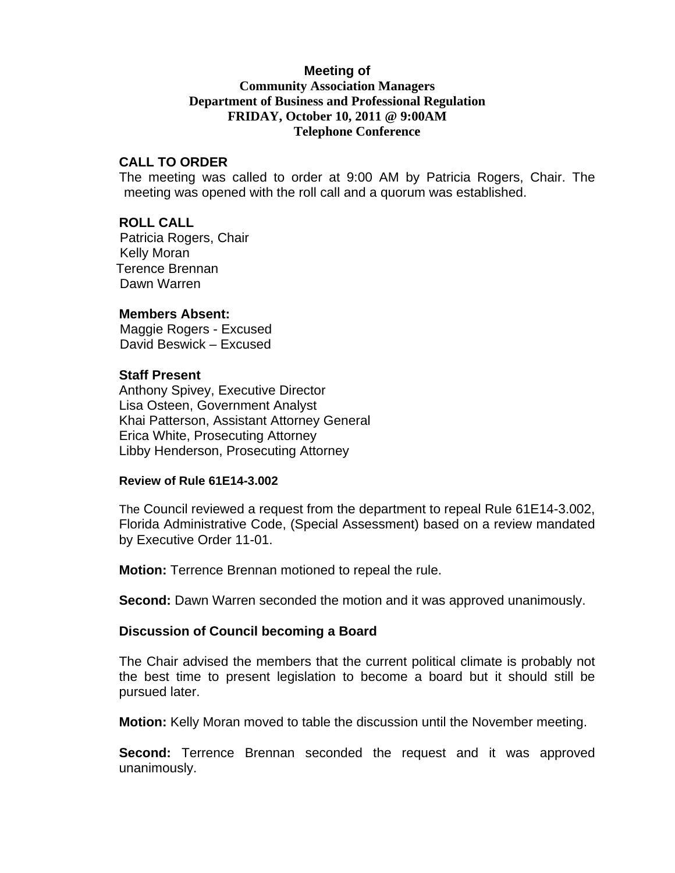# **Meeting of**

# **Community Association Managers Department of Business and Professional Regulation FRIDAY, October 10, 2011 @ 9:00AM Telephone Conference**

# **CALL TO ORDER**

The meeting was called to order at 9:00 AM by Patricia Rogers, Chair. The meeting was opened with the roll call and a quorum was established.

# **ROLL CALL**

 Patricia Rogers, Chair Kelly Moran Terence Brennan Dawn Warren

# **Members Absent:**

 Maggie Rogers - Excused David Beswick – Excused

### **Staff Present**

Anthony Spivey, Executive Director Lisa Osteen, Government Analyst Khai Patterson, Assistant Attorney General Erica White, Prosecuting Attorney Libby Henderson, Prosecuting Attorney

#### **Review of Rule 61E14-3.002**

The Council reviewed a request from the department to repeal Rule 61E14-3.002, Florida Administrative Code, (Special Assessment) based on a review mandated by Executive Order 11-01.

**Motion:** Terrence Brennan motioned to repeal the rule.

**Second:** Dawn Warren seconded the motion and it was approved unanimously.

# **Discussion of Council becoming a Board**

The Chair advised the members that the current political climate is probably not the best time to present legislation to become a board but it should still be pursued later.

**Motion:** Kelly Moran moved to table the discussion until the November meeting.

**Second:** Terrence Brennan seconded the request and it was approved unanimously.